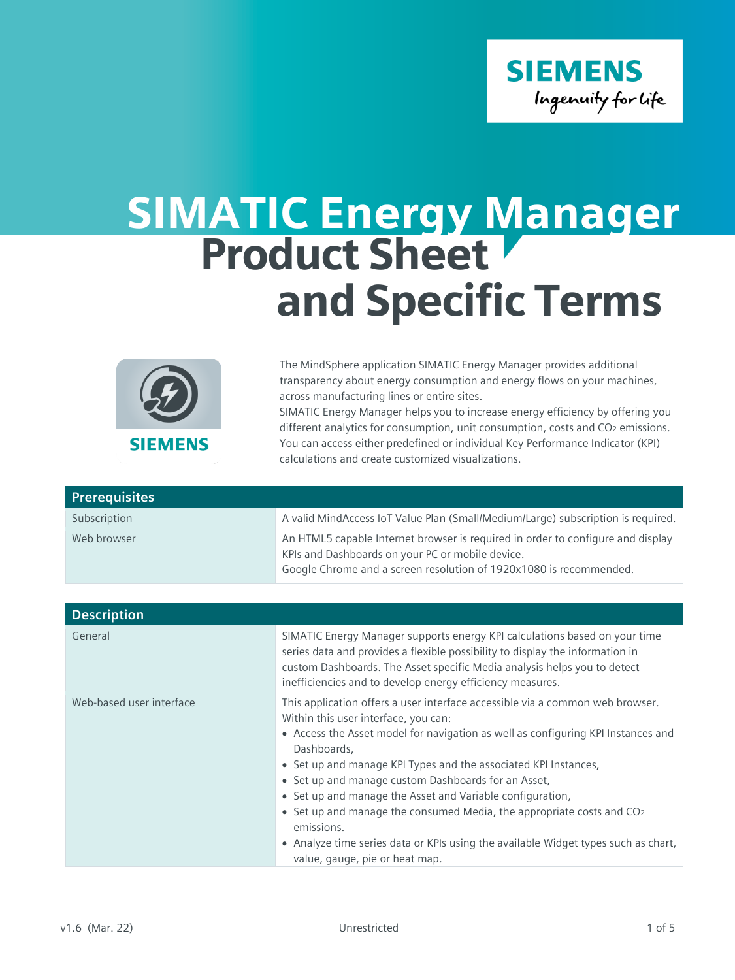

## SIMATIC Energy Manager Product Sheet and Specific Terms



The MindSphere application SIMATIC Energy Manager provides additional transparency about energy consumption and energy flows on your machines, across manufacturing lines or entire sites. SIMATIC Energy Manager helps you to increase energy efficiency by offering you different analytics for consumption, unit consumption, costs and CO<sub>2</sub> emissions.

You can access either predefined or individual Key Performance Indicator (KPI) calculations and create customized visualizations.

| <b>Prerequisites</b> |                                                                                                                                                                                                           |
|----------------------|-----------------------------------------------------------------------------------------------------------------------------------------------------------------------------------------------------------|
| Subscription         | A valid MindAccess IoT Value Plan (Small/Medium/Large) subscription is required.                                                                                                                          |
| Web browser          | An HTML5 capable Internet browser is required in order to configure and display<br>KPIs and Dashboards on your PC or mobile device.<br>Google Chrome and a screen resolution of 1920x1080 is recommended. |

| <b>Description</b>       |                                                                                                                                                                                                                                                                                                                                                                                                                                                                                                                                                                                                                                            |
|--------------------------|--------------------------------------------------------------------------------------------------------------------------------------------------------------------------------------------------------------------------------------------------------------------------------------------------------------------------------------------------------------------------------------------------------------------------------------------------------------------------------------------------------------------------------------------------------------------------------------------------------------------------------------------|
| General                  | SIMATIC Energy Manager supports energy KPI calculations based on your time<br>series data and provides a flexible possibility to display the information in<br>custom Dashboards. The Asset specific Media analysis helps you to detect<br>inefficiencies and to develop energy efficiency measures.                                                                                                                                                                                                                                                                                                                                       |
| Web-based user interface | This application offers a user interface accessible via a common web browser.<br>Within this user interface, you can:<br>• Access the Asset model for navigation as well as configuring KPI Instances and<br>Dashboards,<br>• Set up and manage KPI Types and the associated KPI Instances,<br>• Set up and manage custom Dashboards for an Asset,<br>• Set up and manage the Asset and Variable configuration,<br>• Set up and manage the consumed Media, the appropriate costs and CO <sub>2</sub><br>emissions.<br>• Analyze time series data or KPIs using the available Widget types such as chart,<br>value, gauge, pie or heat map. |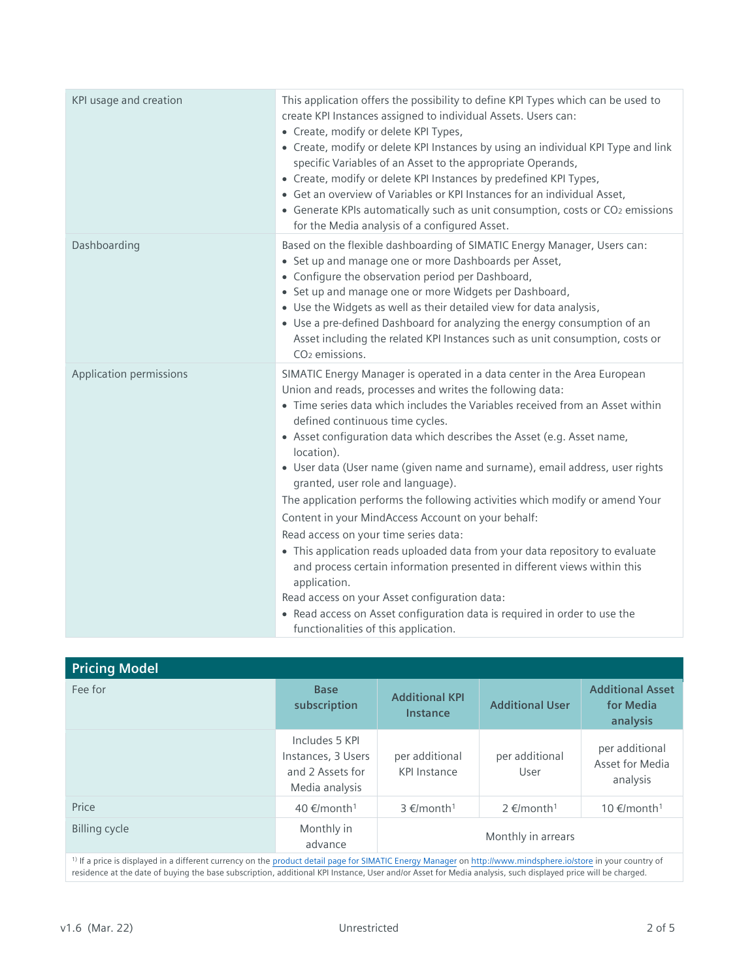| KPI usage and creation  | This application offers the possibility to define KPI Types which can be used to<br>create KPI Instances assigned to individual Assets. Users can:<br>• Create, modify or delete KPI Types,<br>• Create, modify or delete KPI Instances by using an individual KPI Type and link<br>specific Variables of an Asset to the appropriate Operands,<br>• Create, modify or delete KPI Instances by predefined KPI Types,<br>• Get an overview of Variables or KPI Instances for an individual Asset,<br>• Generate KPIs automatically such as unit consumption, costs or CO2 emissions<br>for the Media analysis of a configured Asset.                                                                                                                                                                                                                                                                                                                                                                    |
|-------------------------|--------------------------------------------------------------------------------------------------------------------------------------------------------------------------------------------------------------------------------------------------------------------------------------------------------------------------------------------------------------------------------------------------------------------------------------------------------------------------------------------------------------------------------------------------------------------------------------------------------------------------------------------------------------------------------------------------------------------------------------------------------------------------------------------------------------------------------------------------------------------------------------------------------------------------------------------------------------------------------------------------------|
| Dashboarding            | Based on the flexible dashboarding of SIMATIC Energy Manager, Users can:<br>• Set up and manage one or more Dashboards per Asset,<br>• Configure the observation period per Dashboard,<br>• Set up and manage one or more Widgets per Dashboard,<br>• Use the Widgets as well as their detailed view for data analysis,<br>• Use a pre-defined Dashboard for analyzing the energy consumption of an<br>Asset including the related KPI Instances such as unit consumption, costs or<br>$CO2$ emissions.                                                                                                                                                                                                                                                                                                                                                                                                                                                                                                |
| Application permissions | SIMATIC Energy Manager is operated in a data center in the Area European<br>Union and reads, processes and writes the following data:<br>• Time series data which includes the Variables received from an Asset within<br>defined continuous time cycles.<br>• Asset configuration data which describes the Asset (e.g. Asset name,<br>location).<br>• User data (User name (given name and surname), email address, user rights<br>granted, user role and language).<br>The application performs the following activities which modify or amend Your<br>Content in your MindAccess Account on your behalf:<br>Read access on your time series data:<br>• This application reads uploaded data from your data repository to evaluate<br>and process certain information presented in different views within this<br>application.<br>Read access on your Asset configuration data:<br>• Read access on Asset configuration data is required in order to use the<br>functionalities of this application. |

| <b>Pricing Model</b>                                                                                                                                          |                                                                            |                                          |                             |                                                  |
|---------------------------------------------------------------------------------------------------------------------------------------------------------------|----------------------------------------------------------------------------|------------------------------------------|-----------------------------|--------------------------------------------------|
| Fee for                                                                                                                                                       | <b>Base</b><br>subscription                                                | <b>Additional KPI</b><br><b>Instance</b> | <b>Additional User</b>      | <b>Additional Asset</b><br>for Media<br>analysis |
|                                                                                                                                                               | Includes 5 KPI<br>Instances, 3 Users<br>and 2 Assets for<br>Media analysis | per additional<br><b>KPI Instance</b>    | per additional<br>User      | per additional<br>Asset for Media<br>analysis    |
| Price                                                                                                                                                         | 40 €/month <sup>1</sup>                                                    | 3 €/month <sup>1</sup>                   | $2 \in$ /month <sup>1</sup> | 10 €/month <sup>1</sup>                          |
| <b>Billing cycle</b>                                                                                                                                          | Monthly in<br>advance                                                      |                                          | Monthly in arrears          |                                                  |
| 1) If a price is displayed in a different surropey on the product datail page for SIMATIC Energy Manager on http://www.mindephere.ioletoro.in your country of |                                                                            |                                          |                             |                                                  |

1) If a price is displayed in a different currency on the [product detail page for SIMATIC Energy](https://www.dex.siemens.com/mindsphere/applications/SIMATIC-Energy-Manager) Manager o[n http://www.mindsphere.io/store](http://www.mindsphere.io/store) in your country of residence at the date of buying the base subscription, additional KPI Instance, User and/or Asset for Media analysis, such displayed price will be charged.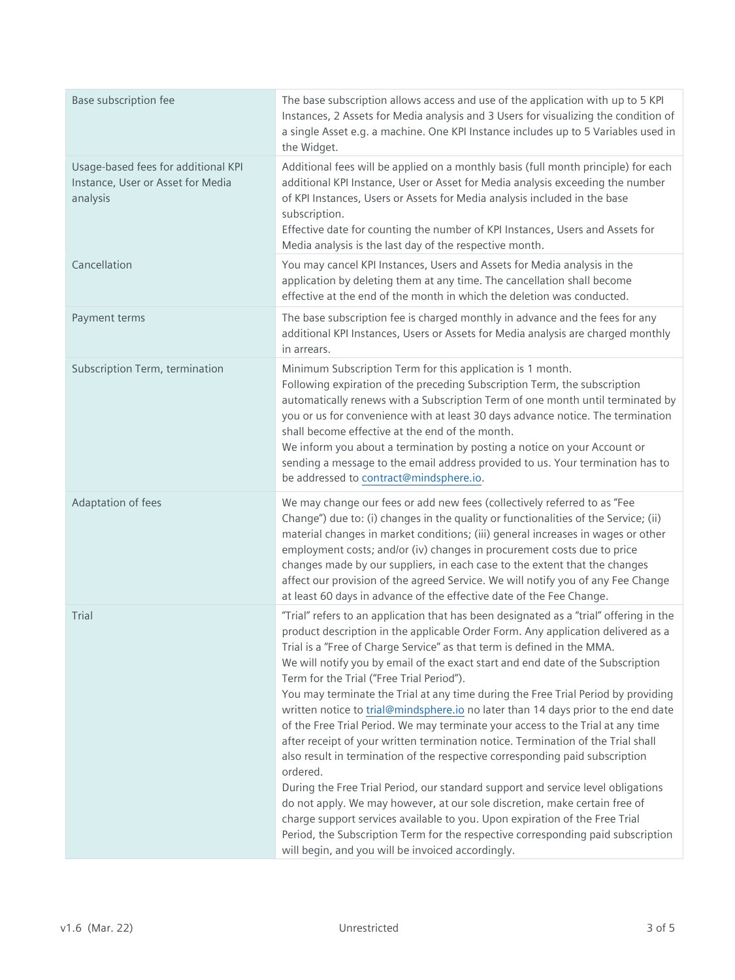| Base subscription fee                                                                | The base subscription allows access and use of the application with up to 5 KPI<br>Instances, 2 Assets for Media analysis and 3 Users for visualizing the condition of<br>a single Asset e.g. a machine. One KPI Instance includes up to 5 Variables used in<br>the Widget.                                                                                                                                                                                                                                                                                                                                                                                                                                                                                                                                                                                                                                                                                                                                                                                                                                                                                                                                                  |
|--------------------------------------------------------------------------------------|------------------------------------------------------------------------------------------------------------------------------------------------------------------------------------------------------------------------------------------------------------------------------------------------------------------------------------------------------------------------------------------------------------------------------------------------------------------------------------------------------------------------------------------------------------------------------------------------------------------------------------------------------------------------------------------------------------------------------------------------------------------------------------------------------------------------------------------------------------------------------------------------------------------------------------------------------------------------------------------------------------------------------------------------------------------------------------------------------------------------------------------------------------------------------------------------------------------------------|
| Usage-based fees for additional KPI<br>Instance, User or Asset for Media<br>analysis | Additional fees will be applied on a monthly basis (full month principle) for each<br>additional KPI Instance, User or Asset for Media analysis exceeding the number<br>of KPI Instances, Users or Assets for Media analysis included in the base<br>subscription.<br>Effective date for counting the number of KPI Instances, Users and Assets for<br>Media analysis is the last day of the respective month.                                                                                                                                                                                                                                                                                                                                                                                                                                                                                                                                                                                                                                                                                                                                                                                                               |
| Cancellation                                                                         | You may cancel KPI Instances, Users and Assets for Media analysis in the<br>application by deleting them at any time. The cancellation shall become<br>effective at the end of the month in which the deletion was conducted.                                                                                                                                                                                                                                                                                                                                                                                                                                                                                                                                                                                                                                                                                                                                                                                                                                                                                                                                                                                                |
| Payment terms                                                                        | The base subscription fee is charged monthly in advance and the fees for any<br>additional KPI Instances, Users or Assets for Media analysis are charged monthly<br>in arrears.                                                                                                                                                                                                                                                                                                                                                                                                                                                                                                                                                                                                                                                                                                                                                                                                                                                                                                                                                                                                                                              |
| Subscription Term, termination                                                       | Minimum Subscription Term for this application is 1 month.<br>Following expiration of the preceding Subscription Term, the subscription<br>automatically renews with a Subscription Term of one month until terminated by<br>you or us for convenience with at least 30 days advance notice. The termination<br>shall become effective at the end of the month.<br>We inform you about a termination by posting a notice on your Account or<br>sending a message to the email address provided to us. Your termination has to<br>be addressed to contract@mindsphere.io.                                                                                                                                                                                                                                                                                                                                                                                                                                                                                                                                                                                                                                                     |
| Adaptation of fees                                                                   | We may change our fees or add new fees (collectively referred to as "Fee<br>Change") due to: (i) changes in the quality or functionalities of the Service; (ii)<br>material changes in market conditions; (iii) general increases in wages or other<br>employment costs; and/or (iv) changes in procurement costs due to price<br>changes made by our suppliers, in each case to the extent that the changes<br>affect our provision of the agreed Service. We will notify you of any Fee Change<br>at least 60 days in advance of the effective date of the Fee Change.                                                                                                                                                                                                                                                                                                                                                                                                                                                                                                                                                                                                                                                     |
| Trial                                                                                | "Trial" refers to an application that has been designated as a "trial" offering in the<br>product description in the applicable Order Form. Any application delivered as a<br>Trial is a "Free of Charge Service" as that term is defined in the MMA.<br>We will notify you by email of the exact start and end date of the Subscription<br>Term for the Trial ("Free Trial Period").<br>You may terminate the Trial at any time during the Free Trial Period by providing<br>written notice to trial@mindsphere.io no later than 14 days prior to the end date<br>of the Free Trial Period. We may terminate your access to the Trial at any time<br>after receipt of your written termination notice. Termination of the Trial shall<br>also result in termination of the respective corresponding paid subscription<br>ordered.<br>During the Free Trial Period, our standard support and service level obligations<br>do not apply. We may however, at our sole discretion, make certain free of<br>charge support services available to you. Upon expiration of the Free Trial<br>Period, the Subscription Term for the respective corresponding paid subscription<br>will begin, and you will be invoiced accordingly. |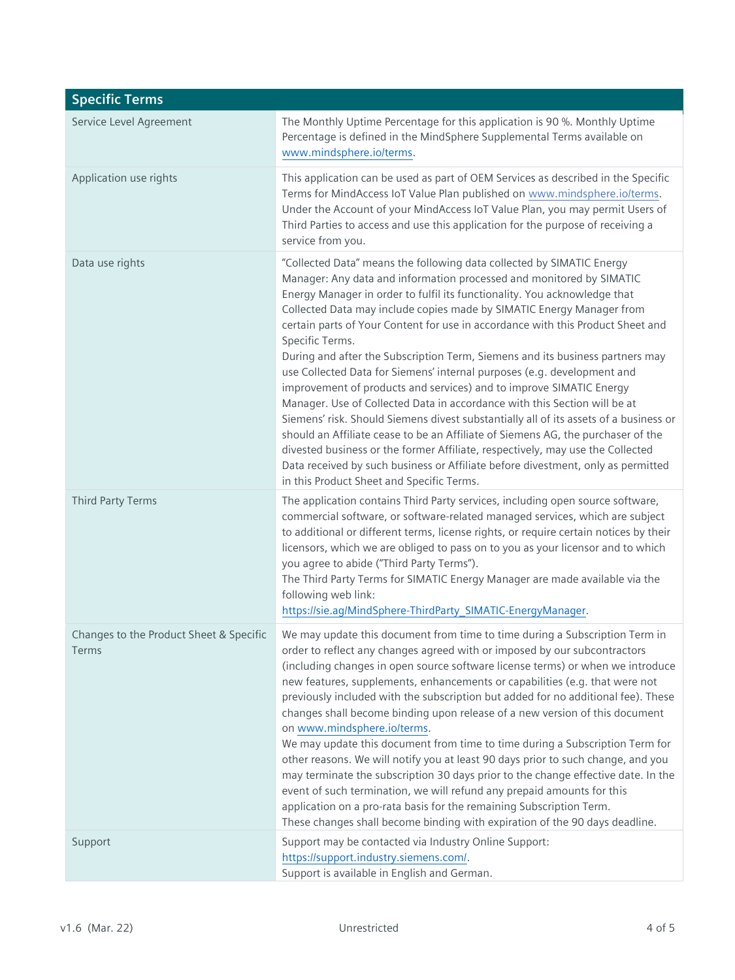| <b>Specific Terms</b>                             |                                                                                                                                                                                                                                                                                                                                                                                                                                                                                                                                                                                                                                                                                                                                                                                                                                                                                                                                                                                                                                                                                                                           |
|---------------------------------------------------|---------------------------------------------------------------------------------------------------------------------------------------------------------------------------------------------------------------------------------------------------------------------------------------------------------------------------------------------------------------------------------------------------------------------------------------------------------------------------------------------------------------------------------------------------------------------------------------------------------------------------------------------------------------------------------------------------------------------------------------------------------------------------------------------------------------------------------------------------------------------------------------------------------------------------------------------------------------------------------------------------------------------------------------------------------------------------------------------------------------------------|
| Service Level Agreement                           | The Monthly Uptime Percentage for this application is 90 %. Monthly Uptime<br>Percentage is defined in the MindSphere Supplemental Terms available on<br>www.mindsphere.io/terms.                                                                                                                                                                                                                                                                                                                                                                                                                                                                                                                                                                                                                                                                                                                                                                                                                                                                                                                                         |
| Application use rights                            | This application can be used as part of OEM Services as described in the Specific<br>Terms for MindAccess IoT Value Plan published on www.mindsphere.io/terms.<br>Under the Account of your MindAccess IoT Value Plan, you may permit Users of<br>Third Parties to access and use this application for the purpose of receiving a<br>service from you.                                                                                                                                                                                                                                                                                                                                                                                                                                                                                                                                                                                                                                                                                                                                                                    |
| Data use rights                                   | "Collected Data" means the following data collected by SIMATIC Energy<br>Manager: Any data and information processed and monitored by SIMATIC<br>Energy Manager in order to fulfil its functionality. You acknowledge that<br>Collected Data may include copies made by SIMATIC Energy Manager from<br>certain parts of Your Content for use in accordance with this Product Sheet and<br>Specific Terms.<br>During and after the Subscription Term, Siemens and its business partners may<br>use Collected Data for Siemens' internal purposes (e.g. development and<br>improvement of products and services) and to improve SIMATIC Energy<br>Manager. Use of Collected Data in accordance with this Section will be at<br>Siemens' risk. Should Siemens divest substantially all of its assets of a business or<br>should an Affiliate cease to be an Affiliate of Siemens AG, the purchaser of the<br>divested business or the former Affiliate, respectively, may use the Collected<br>Data received by such business or Affiliate before divestment, only as permitted<br>in this Product Sheet and Specific Terms. |
| <b>Third Party Terms</b>                          | The application contains Third Party services, including open source software,<br>commercial software, or software-related managed services, which are subject<br>to additional or different terms, license rights, or require certain notices by their<br>licensors, which we are obliged to pass on to you as your licensor and to which<br>you agree to abide ("Third Party Terms").<br>The Third Party Terms for SIMATIC Energy Manager are made available via the<br>following web link:<br>https://sie.ag/MindSphere-ThirdParty_SIMATIC-EnergyManager.                                                                                                                                                                                                                                                                                                                                                                                                                                                                                                                                                              |
| Changes to the Product Sheet & Specific<br>l erms | We may update this document from time to time during a Subscription Term in<br>order to reflect any changes agreed with or imposed by our subcontractors<br>(including changes in open source software license terms) or when we introduce<br>new features, supplements, enhancements or capabilities (e.g. that were not<br>previously included with the subscription but added for no additional fee). These<br>changes shall become binding upon release of a new version of this document<br>on www.mindsphere.io/terms.<br>We may update this document from time to time during a Subscription Term for<br>other reasons. We will notify you at least 90 days prior to such change, and you<br>may terminate the subscription 30 days prior to the change effective date. In the<br>event of such termination, we will refund any prepaid amounts for this<br>application on a pro-rata basis for the remaining Subscription Term.<br>These changes shall become binding with expiration of the 90 days deadline.                                                                                                    |
| Support                                           | Support may be contacted via Industry Online Support:<br>https://support.industry.siemens.com/.<br>Support is available in English and German.                                                                                                                                                                                                                                                                                                                                                                                                                                                                                                                                                                                                                                                                                                                                                                                                                                                                                                                                                                            |